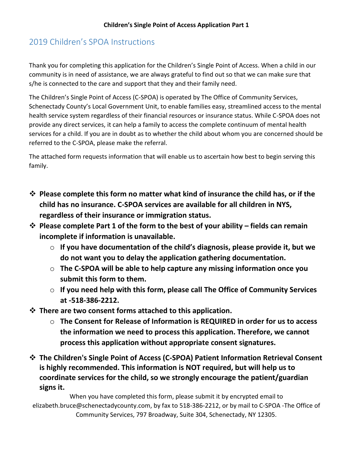# 2019 Children's SPOA Instructions

Thank you for completing this application for the Children's Single Point of Access. When a child in our community is in need of assistance, we are always grateful to find out so that we can make sure that s/he is connected to the care and support that they and their family need.

The Children's Single Point of Access (C-SPOA) is operated by The Office of Community Services, Schenectady County's Local Government Unit, to enable families easy, streamlined access to the mental health service system regardless of their financial resources or insurance status. While C-SPOA does not provide any direct services, it can help a family to access the complete continuum of mental health services for a child. If you are in doubt as to whether the child about whom you are concerned should be referred to the C-SPOA, please make the referral.

The attached form requests information that will enable us to ascertain how best to begin serving this family.

- ❖ **Please complete this form no matter what kind of insurance the child has, or if the child has no insurance. C-SPOA services are available for all children in NYS, regardless of their insurance or immigration status.**
- ❖ **Please complete Part 1 of the form to the best of your ability – fields can remain incomplete if information is unavailable.**
	- o **If you have documentation of the child's diagnosis, please provide it, but we do not want you to delay the application gathering documentation.**
	- o **The C-SPOA will be able to help capture any missing information once you submit this form to them.**
	- o **If you need help with this form, please call The Office of Community Services at -518-386-2212.**
- ❖ **There are two consent forms attached to this application.** 
	- o **The Consent for Release of Information is REQUIRED in order for us to access the information we need to process this application. Therefore, we cannot process this application without appropriate consent signatures.**
- ❖ **The Children's Single Point of Access (C-SPOA) Patient Information Retrieval Consent is highly recommended. This information is NOT required, but will help us to coordinate services for the child, so we strongly encourage the patient/guardian signs it.**

When you have completed this form, please submit it by encrypted email to elizabeth.bruce@schenectadycounty.com, by fax to 518-386-2212, or by mail to C-SPOA -The Office of Community Services, 797 Broadway, Suite 304, Schenectady, NY 12305.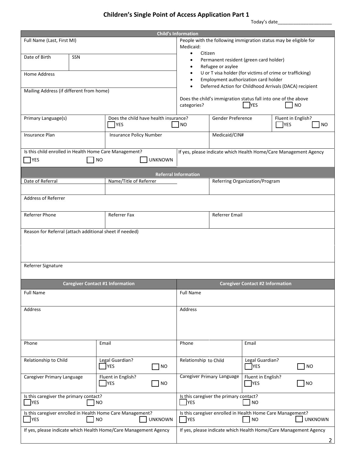# **Children's Single Point of Access Application Part 1**

|                                                             | <b>Child's Information</b> |                                                                  |                |                                                                  |                                                                  |                                         |                                   |       |
|-------------------------------------------------------------|----------------------------|------------------------------------------------------------------|----------------|------------------------------------------------------------------|------------------------------------------------------------------|-----------------------------------------|-----------------------------------|-------|
| Full Name (Last, First MI)                                  |                            |                                                                  |                |                                                                  | People with the following immigration status may be eligible for |                                         |                                   |       |
|                                                             |                            |                                                                  |                | Medicaid:                                                        |                                                                  |                                         |                                   |       |
| Date of Birth                                               | SSN                        |                                                                  |                | Citizen<br>$\bullet$                                             |                                                                  |                                         |                                   |       |
|                                                             |                            |                                                                  |                |                                                                  | Permanent resident (green card holder)                           |                                         |                                   |       |
|                                                             |                            |                                                                  |                |                                                                  | Refugee or asylee                                                |                                         |                                   |       |
| Home Address                                                |                            |                                                                  |                |                                                                  | U or T visa holder (for victims of crime or trafficking)         |                                         |                                   |       |
|                                                             |                            |                                                                  |                |                                                                  | Employment authorization card holder                             |                                         |                                   |       |
| Mailing Address (if different from home)                    |                            |                                                                  |                |                                                                  | Deferred Action for Childhood Arrivals (DACA) recipient          |                                         |                                   |       |
|                                                             |                            |                                                                  |                |                                                                  | Does the child's immigration status fall into one of the above   |                                         |                                   |       |
|                                                             |                            |                                                                  |                | categories?                                                      |                                                                  | <b>YES</b>                              | <b>NO</b>                         |       |
| Primary Language(s)                                         |                            | Does the child have health insurance?<br><b>YES</b>              |                | NO                                                               | Gender Preference                                                |                                         | Fluent in English?<br><b>TYES</b> | NO.   |
| Insurance Plan                                              |                            | Insurance Policy Number                                          |                |                                                                  | Medicaid/CIN#                                                    |                                         |                                   |       |
|                                                             |                            |                                                                  |                |                                                                  |                                                                  |                                         |                                   |       |
|                                                             |                            |                                                                  |                |                                                                  |                                                                  |                                         |                                   |       |
| Is this child enrolled in Health Home Care Management?      |                            |                                                                  |                |                                                                  | If yes, please indicate which Health Home/Care Management Agency |                                         |                                   |       |
| <b>YES</b>                                                  |                            | <b>NO</b>                                                        | <b>UNKNOWN</b> |                                                                  |                                                                  |                                         |                                   |       |
|                                                             |                            |                                                                  |                |                                                                  |                                                                  |                                         |                                   |       |
|                                                             |                            |                                                                  |                | <b>Referral Information</b>                                      |                                                                  |                                         |                                   |       |
| Date of Referral                                            |                            | Name/Title of Referrer                                           |                |                                                                  | Referring Organization/Program                                   |                                         |                                   |       |
|                                                             |                            |                                                                  |                |                                                                  |                                                                  |                                         |                                   |       |
| Address of Referrer                                         |                            |                                                                  |                |                                                                  |                                                                  |                                         |                                   |       |
|                                                             |                            |                                                                  |                |                                                                  |                                                                  |                                         |                                   |       |
| Referrer Phone                                              |                            | Referrer Fax                                                     |                |                                                                  | Referrer Email                                                   |                                         |                                   |       |
|                                                             |                            |                                                                  |                |                                                                  |                                                                  |                                         |                                   |       |
|                                                             |                            |                                                                  |                |                                                                  |                                                                  |                                         |                                   |       |
| Reason for Referral (attach additional sheet if needed)     |                            |                                                                  |                |                                                                  |                                                                  |                                         |                                   |       |
|                                                             |                            |                                                                  |                |                                                                  |                                                                  |                                         |                                   |       |
|                                                             |                            |                                                                  |                |                                                                  |                                                                  |                                         |                                   |       |
|                                                             |                            |                                                                  |                |                                                                  |                                                                  |                                         |                                   |       |
| Referrer Signature                                          |                            |                                                                  |                |                                                                  |                                                                  |                                         |                                   |       |
|                                                             |                            |                                                                  |                |                                                                  |                                                                  |                                         |                                   |       |
|                                                             |                            | <b>Caregiver Contact #1 Information</b>                          |                |                                                                  |                                                                  | <b>Caregiver Contact #2 Information</b> |                                   |       |
| <b>Full Name</b>                                            |                            |                                                                  |                | <b>Full Name</b>                                                 |                                                                  |                                         |                                   |       |
|                                                             |                            |                                                                  |                |                                                                  |                                                                  |                                         |                                   |       |
| Address                                                     |                            |                                                                  |                | Address                                                          |                                                                  |                                         |                                   |       |
|                                                             |                            |                                                                  |                |                                                                  |                                                                  |                                         |                                   |       |
|                                                             |                            |                                                                  |                |                                                                  |                                                                  |                                         |                                   |       |
|                                                             |                            |                                                                  |                |                                                                  |                                                                  |                                         |                                   |       |
|                                                             |                            |                                                                  |                |                                                                  |                                                                  |                                         |                                   |       |
| Phone                                                       |                            | Email                                                            |                | Phone                                                            |                                                                  | Email                                   |                                   |       |
|                                                             |                            |                                                                  |                |                                                                  |                                                                  |                                         |                                   |       |
| Relationship to Child                                       |                            | Legal Guardian?                                                  |                | Relationship to Child                                            |                                                                  | Legal Guardian?                         |                                   |       |
|                                                             |                            | <b>TYES</b>                                                      | <b>NO</b>      |                                                                  |                                                                  | <b>TYES</b>                             |                                   | ] NO  |
|                                                             |                            |                                                                  |                |                                                                  |                                                                  |                                         |                                   |       |
| Caregiver Primary Language                                  |                            | Fluent in English?                                               |                |                                                                  | Caregiver Primary Language                                       | Fluent in English?                      |                                   |       |
|                                                             |                            | <b>YES</b>                                                       | <b>NO</b>      |                                                                  |                                                                  | <b>TYES</b>                             |                                   | ∃ี NO |
|                                                             |                            |                                                                  |                |                                                                  | Is this caregiver the primary contact?                           |                                         |                                   |       |
| Is this caregiver the primary contact?<br><b>YES</b><br>NO. |                            |                                                                  |                | <b>YES</b>                                                       |                                                                  | <b>NO</b>                               |                                   |       |
|                                                             |                            |                                                                  |                |                                                                  |                                                                  |                                         |                                   |       |
|                                                             |                            | Is this caregiver enrolled in Health Home Care Management?       |                |                                                                  | Is this caregiver enrolled in Health Home Care Management?       |                                         |                                   |       |
| YES                                                         |                            | <b>NO</b>                                                        | <b>UNKNOWN</b> | <b>TYES</b><br><b>UNKNOWN</b><br><b>NO</b>                       |                                                                  |                                         |                                   |       |
|                                                             |                            | If yes, please indicate which Health Home/Care Management Agency |                | If yes, please indicate which Health Home/Care Management Agency |                                                                  |                                         |                                   |       |
|                                                             |                            |                                                                  |                |                                                                  |                                                                  |                                         |                                   |       |
|                                                             |                            |                                                                  |                |                                                                  |                                                                  |                                         | $\overline{2}$                    |       |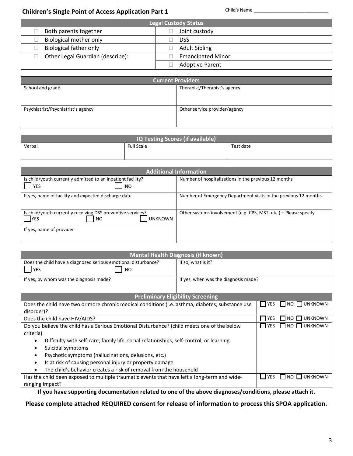## **Children's Single Point of Access Application Part 1**

Child's Name

| Legal Custody Status             |                          |  |  |  |  |
|----------------------------------|--------------------------|--|--|--|--|
| Both parents together            | Joint custody            |  |  |  |  |
| <b>Biological mother only</b>    | <b>DSS</b>               |  |  |  |  |
| <b>Biological father only</b>    | <b>Adult Sibling</b>     |  |  |  |  |
| Other Legal Guardian (describe): | <b>Emancipated Minor</b> |  |  |  |  |
|                                  | <b>Adoptive Parent</b>   |  |  |  |  |

| <b>Current Providers</b>           |                               |  |  |  |  |
|------------------------------------|-------------------------------|--|--|--|--|
| School and grade                   | Therapist/Therapist's agency  |  |  |  |  |
|                                    |                               |  |  |  |  |
|                                    |                               |  |  |  |  |
| Psychiatrist/Psychiatrist's agency | Other service provider/agency |  |  |  |  |
|                                    |                               |  |  |  |  |
|                                    |                               |  |  |  |  |

| <b>IQ Testing Scores (if available)</b> |                   |           |  |  |  |
|-----------------------------------------|-------------------|-----------|--|--|--|
| Verbal                                  | <b>Full Scale</b> | Test date |  |  |  |
|                                         |                   |           |  |  |  |

|                                                                                                                               | <b>Additional Information</b>                                    |
|-------------------------------------------------------------------------------------------------------------------------------|------------------------------------------------------------------|
| Is child/youth currently admitted to an inpatient facility?<br><b>YES</b><br><b>NO</b>                                        | Number of hospitalizations in the previous 12 months             |
| If yes, name of facility and expected discharge date                                                                          | Number of Emergency Department visits in the previous 12 months  |
| Is child/youth currently receiving DSS preventive services?<br><b>NES</b><br>NO<br><b>UNKNOWN</b><br>If yes, name of provider | Other systems involvement (e.g. CPS, MST, etc.) - Please specify |

| <b>Mental Health Diagnosis (if known)</b>                                                            |                                          |                                               |                |  |  |  |
|------------------------------------------------------------------------------------------------------|------------------------------------------|-----------------------------------------------|----------------|--|--|--|
| Does the child have a diagnosed serious emotional disturbance?                                       | If so, what is it?                       |                                               |                |  |  |  |
| <b>YES</b><br><b>NO</b>                                                                              |                                          |                                               |                |  |  |  |
| If yes, by whom was the diagnosis made?                                                              | If yes, when was the diagnosis made?     |                                               |                |  |  |  |
|                                                                                                      |                                          |                                               |                |  |  |  |
|                                                                                                      | <b>Preliminary Eligibility Screening</b> |                                               |                |  |  |  |
| Does the child have two or more chronic medical conditions (i.e. asthma, diabetes, substance use     | IIVES                                    | $NO$ $\Box$<br><b>UNKNOWN</b><br>$\mathbf{I}$ |                |  |  |  |
| disorder)?                                                                                           |                                          |                                               |                |  |  |  |
| Does the child have HIV/AIDS?                                                                        | <b>TYES</b>                              | <b>UNKNOWN</b><br>NO.                         |                |  |  |  |
| Do you believe the child has a Serious Emotional Disturbance? (child meets one of the below          | <b>YES</b>                               | <b>UNKNOWN</b><br>NO <sub>1</sub>             |                |  |  |  |
| criteria)                                                                                            |                                          |                                               |                |  |  |  |
| Difficulty with self-care, family life, social relationships, self-control, or learning<br>$\bullet$ |                                          |                                               |                |  |  |  |
| Suicidal symptoms<br>$\bullet$                                                                       |                                          |                                               |                |  |  |  |
| Psychotic symptoms (hallucinations, delusions, etc.)<br>$\bullet$                                    |                                          |                                               |                |  |  |  |
| Is at risk of causing personal injury or property damage<br>$\bullet$                                |                                          |                                               |                |  |  |  |
| The child's behavior creates a risk of removal from the household                                    |                                          |                                               |                |  |  |  |
| Has the child been exposed to multiple traumatic events that have left a long-term and wide-         |                                          | YES                                           | UNKNOWN<br>NO. |  |  |  |
| ranging impact?                                                                                      |                                          |                                               |                |  |  |  |

If you have supporting documentation related to one of the above diagnoses/conditions, please attach it.

Please complete attached REQUIRED consent for release of information to process this SPOA application.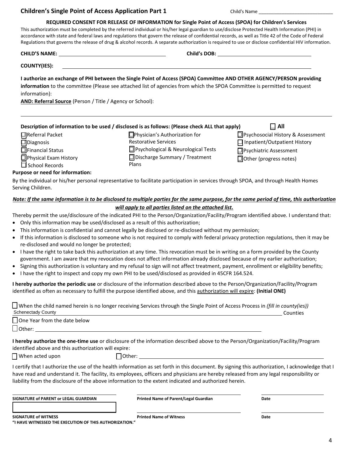#### **Children's Single Point of Access Application Part 1**

Child's Name

#### REQUIRED CONSENT FOR RELEASE OF INFORMATION for Single Point of Access (SPOA) for Children's Services

This authorization must be completed by the referred individual or his/her legal guardian to use/disclose Protected Health Information (PHI) in accordance with state and federal laws and regulations that govern the release of confidential records, as well as Title 42 of the Code of Federal Regulations that governs the release of drug & alcohol records. A separate authorization is required to use or disclose confidential HIV information.

| <b>CHILD'S NAME:</b> | <b>Child's DOB:</b> |  |
|----------------------|---------------------|--|
| <b>COUNTY(IES):</b>  |                     |  |

## I authorize an exchange of PHI between the Single Point of Access (SPOA) Committee AND OTHER AGENCY/PERSON providing

information to the committee (Please see attached list of agencies from which the SPOA Committee is permitted to request information):

AND: Referral Source (Person / Title / Agency or School):

|                        | Description of information to be used / disclosed is as follows: (Please check ALL that apply) | $\Box$ All                          |
|------------------------|------------------------------------------------------------------------------------------------|-------------------------------------|
| $\Box$ Referral Packet | $\Box$ Physician's Authorization for                                                           | □ Psychosocial History & Assessment |
| $\Box$ Diagnosis       | <b>Restorative Services</b>                                                                    | $\Box$ Inpatient/Outpatient History |

 $\Box$ Financial Status □Physical Exam History  $\Box$  School Records

- □ Psychological & Neurological Tests □ Discharge Summary / Treatment Plans
- □ Psychiatric Assessment

□ Other (progress notes)

#### **Purpose or need for information:**

By the individual or his/her personal representative to facilitate participation in services through SPOA, and through Health Homes Serving Children.

#### Note: If the same information is to be disclosed to multiple parties for the same purpose, for the same period of time, this authorization will apply to all parties listed on the attached list.

Thereby permit the use/disclosure of the indicated PHI to the Person/Organization/Facility/Program identified above. I understand that:

- Only this information may be used/disclosed as a result of this authorization;
- This information is confidential and cannot legally be disclosed or re-disclosed without my permission;
- If this information is disclosed to someone who is not required to comply with federal privacy protection regulations, then it may be re-disclosed and would no longer be protected;
- I have the right to take back this authorization at any time. This revocation must be in writing on a form provided by the County government. I am aware that my revocation does not affect information already disclosed because of my earlier authorization;
- Signing this authorization is voluntary and my refusal to sign will not affect treatment, payment, enrollment or eligibility benefits;
- I have the right to inspect and copy my own PHI to be used/disclosed as provided in 45CFR 164.524.

I hereby authorize the periodic use or disclosure of the information described above to the Person/Organization/Facility/Program identified as often as necessary to fulfill the purpose identified above, and this authorization will expire: (Initial ONE)

| $\Box$ When the child named herein is no longer receiving Services through the Single Point of Access Process in (fill in county(ies)) |          |
|----------------------------------------------------------------------------------------------------------------------------------------|----------|
| Schenectady County                                                                                                                     | Counties |

| $\Box$ One Year from the date below |  |   |           |   |                      |        |   |           |
|-------------------------------------|--|---|-----------|---|----------------------|--------|---|-----------|
| Other:                              |  |   |           |   |                      |        |   |           |
| .<br>.<br>. .                       |  | . | $\cdot$ . | . | $\sim$ $\sim$ $\sim$ | $\sim$ | . | $I = 11.$ |

I hereby authorize the one-time use or disclosure of the information described above to the Person/Organization/Facility/Program identified above and this authorization will expire:

 $\Box$  When acted upon

 $\Box$  Other:

I certify that I authorize the use of the health information as set forth in this document. By signing this authorization, I acknowledge that I have read and understand it. The facility, its employees, officers and physicians are hereby released from any legal responsibility or liability from the disclosure of the above information to the extent indicated and authorized herein.

SIGNATURE of PARENT or LEGAL GUARDIAN

Printed Name of Parent/Legal Guardian

**Printed Name of Witness** 

Date

**SIGNATURE of WITNESS** 

"I HAVE WITNESSED THE EXECUTION OF THIS AUTHORIZATION."

Date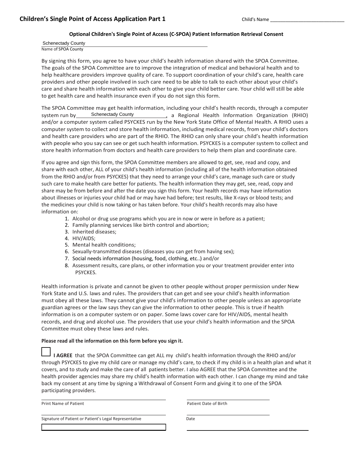#### Optional Children's Single Point of Access (C-SPOA) Patient Information Retrieval Consent

**Schenectady County** Name of SPOA County

By signing this form, you agree to have your child's health information shared with the SPOA Committee. The goals of the SPOA Committee are to improve the integration of medical and behavioral health and to help healthcare providers improve quality of care. To support coordination of your child's care, health care providers and other people involved in such care need to be able to talk to each other about your child's care and share health information with each other to give your child better care. Your child will still be able to get health care and health insurance even if you do not sign this form.

The SPOA Committee may get health information, including your child's health records, through a computer **Schenectady County** system run by a Regional Health Information Organization (RHIO) and/or a computer system called PSYCKES run by the New York State Office of Mental Health. A RHIO uses a computer system to collect and store health information, including medical records, from your child's doctors and health care providers who are part of the RHIO. The RHIO can only share your child's health information with people who you say can see or get such health information. PSYCKES is a computer system to collect and store health information from doctors and health care providers to help them plan and coordinate care.

If you agree and sign this form, the SPOA Committee members are allowed to get, see, read and copy, and share with each other, ALL of your child's health information (including all of the health information obtained from the RHIO and/or from PSYCKES) that they need to arrange your child's care, manage such care or study such care to make health care better for patients. The health information they may get, see, read, copy and share may be from before and after the date you sign this form. Your health records may have information about illnesses or injuries your child had or may have had before; test results, like X-rays or blood tests; and the medicines your child is now taking or has taken before. Your child's health records may also have information on:

- 1. Alcohol or drug use programs which you are in now or were in before as a patient;
- 2. Family planning services like birth control and abortion;
- 3. Inherited diseases;
- 4. HIV/AIDS;
- 5. Mental health conditions;
- 6. Sexually-transmitted diseases (diseases you can get from having sex);
- 7. Social needs information (housing, food, clothing, etc..) and/or
- 8. Assessment results, care plans, or other information you or your treatment provider enter into PSYCKES.

Health information is private and cannot be given to other people without proper permission under New York State and U.S. laws and rules. The providers that can get and see your child's health information must obey all these laws. They cannot give your child's information to other people unless an appropriate guardian agrees or the law says they can give the information to other people. This is true if health information is on a computer system or on paper. Some laws cover care for HIV/AIDS, mental health records, and drug and alcohol use. The providers that use your child's health information and the SPOA Committee must obey these laws and rules.

#### Please read all the information on this form before you sign it.

I AGREE that the SPOA Committee can get ALL my child's health information through the RHIO and/or through PSYCKES to give my child care or manage my child's care, to check if my child is in a health plan and what it covers, and to study and make the care of all patients better. I also AGREE that the SPOA Committee and the health provider agencies may share my child's health information with each other. I can change my mind and take back my consent at any time by signing a Withdrawal of Consent Form and giving it to one of the SPOA participating providers.

**Print Name of Patient** 

Signature of Patient or Patient's Legal Representative

Patient Date of Birth

Date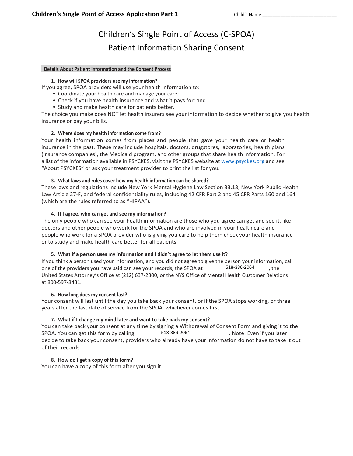# Children's Single Point of Access (C-SPOA) **Patient Information Sharing Consent**

#### **Details About Patient Information and the Consent Process**

#### 1. How will SPOA providers use my information?

If you agree, SPOA providers will use your health information to:

- Coordinate your health care and manage your care;
- Check if you have health insurance and what it pays for; and
- Study and make health care for patients better.

The choice you make does NOT let health insurers see your information to decide whether to give you health insurance or pay your bills.

#### 2. Where does my health information come from?

Your health information comes from places and people that gave your health care or health insurance in the past. These may include hospitals, doctors, drugstores, laboratories, health plans (insurance companies), the Medicaid program, and other groups that share health information. For a list of the information available in PSYCKES, visit the PSYCKES website at www.psyckes.org and see "About PSYCKES" or ask your treatment provider to print the list for you.

#### 3. What laws and rules cover how my health information can be shared?

These laws and regulations include New York Mental Hygiene Law Section 33.13, New York Public Health Law Article 27-F, and federal confidentiality rules, including 42 CFR Part 2 and 45 CFR Parts 160 and 164 (which are the rules referred to as "HIPAA").

#### 4. If I agree, who can get and see my information?

The only people who can see your health information are those who you agree can get and see it, like doctors and other people who work for the SPOA and who are involved in your health care and people who work for a SPOA provider who is giving you care to help them check your health insurance or to study and make health care better for all patients.

#### 5. What if a person uses my information and I didn't agree to let them use it?

If you think a person used your information, and you did not agree to give the person your information, call one of the providers you have said can see your records, the SPOA at 518-386-2064 , the United States Attorney's Office at (212) 637-2800, or the NYS Office of Mental Health Customer Relations at 800-597-8481.

#### 6. How long does my consent last?

Your consent will last until the day you take back your consent, or if the SPOA stops working, or three years after the last date of service from the SPOA, whichever comes first.

#### 7. What if I change my mind later and want to take back my consent?

You can take back your consent at any time by signing a Withdrawal of Consent Form and giving it to the 518-386-2064 SPOA. You can get this form by calling . Note: Even if you later decide to take back your consent, providers who already have your information do not have to take it out of their records.

#### 8. How do I get a copy of this form?

You can have a copy of this form after you sign it.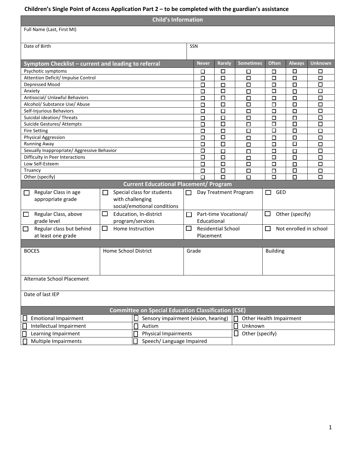#### **Children's Single Point of Access Application Part 2 – to be completed with the guardian's assistance**

|                                                   | <b>Child's Information</b>                               |              |                                                            |              |                                                    |                       |                         |                 |                        |                           |  |
|---------------------------------------------------|----------------------------------------------------------|--------------|------------------------------------------------------------|--------------|----------------------------------------------------|-----------------------|-------------------------|-----------------|------------------------|---------------------------|--|
|                                                   | Full Name (Last, First MI)                               |              |                                                            |              |                                                    |                       |                         |                 |                        |                           |  |
|                                                   |                                                          |              |                                                            |              |                                                    |                       |                         |                 |                        |                           |  |
|                                                   | Date of Birth                                            |              |                                                            | SSN          |                                                    |                       |                         |                 |                        |                           |  |
|                                                   |                                                          |              |                                                            |              |                                                    |                       |                         |                 |                        |                           |  |
|                                                   | Symptom Checklist - current and leading to referral      |              |                                                            |              | <b>Never</b>                                       | Rarely                | <b>Sometimes</b>        | <b>Often</b>    | <b>Always</b>          | <b>Unknown</b>            |  |
|                                                   |                                                          |              |                                                            |              |                                                    |                       |                         |                 |                        |                           |  |
|                                                   | Psychotic symptoms<br>Attention Deficit/ Impulse Control |              |                                                            |              | □<br>$\Box$                                        | □<br>□                | □<br>□                  | □<br>□          | □<br>□                 | $\Box$<br>$\Box$          |  |
|                                                   | Depressed Mood                                           |              |                                                            |              |                                                    |                       |                         |                 | □                      | $\Box$                    |  |
|                                                   | Anxiety                                                  |              |                                                            |              | □<br>□                                             | □<br>□                | □<br>$\Box$             | □<br>□          | $\Box$                 | $\overline{\blacksquare}$ |  |
|                                                   | Antisocial/ Unlawful Behaviors                           |              |                                                            |              | □                                                  | $\Box$                | □                       | $\Box$          | □                      | $\Box$                    |  |
|                                                   | Alcohol/ Substance Use/ Abuse                            |              |                                                            |              | $\Box$                                             | □                     | □                       | □               | □                      | $\Box$                    |  |
|                                                   | Self-Injurious Behaviors                                 |              |                                                            |              | $\Box$                                             | $\Box$                | $\Box$                  | $\Box$          | $\Box$                 | $\overline{\square}$      |  |
|                                                   | Suicidal ideation/ Threats                               |              |                                                            |              | $\Box$                                             | $\Box$                | □                       | □               | $\Box$                 | $\Box$                    |  |
|                                                   | Suicide Gestures/ Attempts                               |              |                                                            |              | $\Box$                                             | $\Box$                | $\Box$                  | □               | $\Box$                 | $\Box$                    |  |
|                                                   |                                                          |              |                                                            |              | $\Box$                                             | $\Box$                | $\Box$                  | $\Box$          | $\Box$                 | $\Box$                    |  |
|                                                   | <b>Fire Setting</b>                                      |              |                                                            |              | $\Box$                                             | $\Box$                |                         |                 | $\Box$                 | $\Box$                    |  |
|                                                   | Physical Aggression<br><b>Running Away</b>               |              |                                                            |              |                                                    | $\Box$                | $\Box$                  | $\Box$          | $\Box$                 | $\Box$                    |  |
|                                                   | Sexually Inappropriate/ Aggressive Behavior              |              |                                                            |              | $\Box$<br>$\Box$                                   |                       | $\Box$                  | $\Box$          |                        | $\Box$                    |  |
|                                                   | Difficulty in Peer Interactions                          |              |                                                            |              | $\Box$                                             | $\Box$<br>□           | $\Box$                  | $\Box$<br>□     | $\Box$<br>□            | $\Box$                    |  |
|                                                   | Low Self-Esteem                                          |              |                                                            |              |                                                    | □                     | $\Box$                  |                 |                        |                           |  |
|                                                   | Truancy                                                  |              |                                                            |              | □                                                  | □                     | □                       | □               | □                      | $\Box$                    |  |
|                                                   | Other (specify)                                          |              |                                                            |              | □<br>$\Box$                                        | $\Box$                | □<br>$\Box$             | $\Box$<br>П     | □<br>□                 | $\Box$<br>$\Box$          |  |
|                                                   |                                                          |              | <b>Current Educational Placement/ Program</b>              |              |                                                    |                       |                         |                 |                        |                           |  |
|                                                   |                                                          |              |                                                            |              |                                                    |                       |                         |                 |                        |                           |  |
|                                                   | Regular Class in age                                     | $\mathsf{L}$ | Special class for students                                 | $\mathbf{I}$ |                                                    | Day Treatment Program |                         | GED<br>П        |                        |                           |  |
|                                                   | appropriate grade                                        |              | with challenging                                           |              |                                                    |                       |                         |                 |                        |                           |  |
|                                                   |                                                          |              | social/emotional conditions                                |              |                                                    |                       |                         |                 |                        |                           |  |
| $\Box$                                            | Regular Class, above                                     | $\Box$       | Education, In-district                                     | $\Box$       | Other (specify)<br>Part-time Vocational/<br>$\Box$ |                       |                         |                 |                        |                           |  |
|                                                   | grade level                                              |              | program/services                                           |              | Educational                                        |                       |                         |                 |                        |                           |  |
| $\Box$                                            | Regular class but behind                                 | $\Box$       | Home Instruction                                           | $\Box$       | <b>Residential School</b>                          |                       |                         | $\Box$          | Not enrolled in school |                           |  |
|                                                   | at least one grade                                       |              |                                                            |              | Placement                                          |                       |                         |                 |                        |                           |  |
|                                                   |                                                          |              |                                                            |              |                                                    |                       |                         |                 |                        |                           |  |
|                                                   | <b>BOCES</b>                                             |              | Home School District                                       | Grade        |                                                    |                       |                         | <b>Building</b> |                        |                           |  |
|                                                   |                                                          |              |                                                            |              |                                                    |                       |                         |                 |                        |                           |  |
|                                                   |                                                          |              |                                                            |              |                                                    |                       |                         |                 |                        |                           |  |
|                                                   |                                                          |              |                                                            |              |                                                    |                       |                         |                 |                        |                           |  |
|                                                   |                                                          |              |                                                            |              |                                                    |                       |                         |                 |                        |                           |  |
|                                                   | Alternate School Placement                               |              |                                                            |              |                                                    |                       |                         |                 |                        |                           |  |
|                                                   |                                                          |              |                                                            |              |                                                    |                       |                         |                 |                        |                           |  |
|                                                   | Date of last IEP                                         |              |                                                            |              |                                                    |                       |                         |                 |                        |                           |  |
|                                                   |                                                          |              |                                                            |              |                                                    |                       |                         |                 |                        |                           |  |
|                                                   |                                                          |              | <b>Committee on Special Education Classification (CSE)</b> |              |                                                    |                       |                         |                 |                        |                           |  |
|                                                   | <b>Emotional Impairment</b>                              |              | Sensory impairment (vision, hearing)                       |              |                                                    |                       | Other Health Impairment |                 |                        |                           |  |
|                                                   | Intellectual Impairment                                  |              | Autism                                                     |              |                                                    |                       | $\Box$<br>Unknown       |                 |                        |                           |  |
|                                                   |                                                          |              | <b>Physical Impairments</b>                                |              |                                                    |                       | $\Box$                  |                 |                        |                           |  |
|                                                   | Learning Impairment                                      |              |                                                            |              |                                                    |                       | Other (specify)         |                 |                        |                           |  |
| Multiple Impairments<br>Speech/ Language Impaired |                                                          |              |                                                            |              |                                                    |                       |                         |                 |                        |                           |  |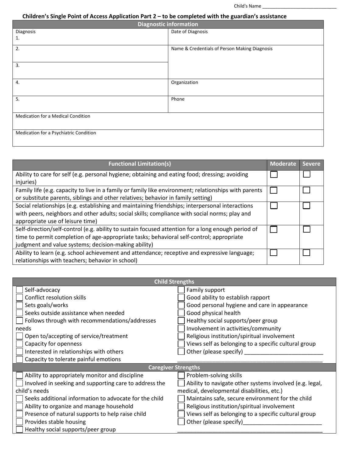### Children's Single Point of Access Application Part 2 – to be completed with the guardian's assistance

| <b>Diagnostic information</b>          |                                               |  |  |  |  |  |
|----------------------------------------|-----------------------------------------------|--|--|--|--|--|
| Diagnosis                              | Date of Diagnosis                             |  |  |  |  |  |
| 1.                                     |                                               |  |  |  |  |  |
| 2.                                     | Name & Credentials of Person Making Diagnosis |  |  |  |  |  |
|                                        |                                               |  |  |  |  |  |
| 3.                                     |                                               |  |  |  |  |  |
|                                        |                                               |  |  |  |  |  |
| 4.                                     | Organization                                  |  |  |  |  |  |
|                                        |                                               |  |  |  |  |  |
| 5.                                     | Phone                                         |  |  |  |  |  |
|                                        |                                               |  |  |  |  |  |
| Medication for a Medical Condition     |                                               |  |  |  |  |  |
|                                        |                                               |  |  |  |  |  |
| Medication for a Psychiatric Condition |                                               |  |  |  |  |  |
|                                        |                                               |  |  |  |  |  |

| <b>Functional Limitation(s)</b>                                                                       | <b>Moderate</b> | <b>Severe</b> |
|-------------------------------------------------------------------------------------------------------|-----------------|---------------|
| Ability to care for self (e.g. personal hygiene; obtaining and eating food; dressing; avoiding        |                 |               |
| injuries)                                                                                             |                 |               |
| Family life (e.g. capacity to live in a family or family like environment; relationships with parents |                 |               |
| or substitute parents, siblings and other relatives; behavior in family setting)                      |                 |               |
| Social relationships (e.g. establishing and maintaining friendships; interpersonal interactions       |                 |               |
| with peers, neighbors and other adults; social skills; compliance with social norms; play and         |                 |               |
| appropriate use of leisure time)                                                                      |                 |               |
| Self-direction/self-control (e.g. ability to sustain focused attention for a long enough period of    |                 |               |
| time to permit completion of age-appropriate tasks; behavioral self-control; appropriate              |                 |               |
| judgment and value systems; decision-making ability)                                                  |                 |               |
| Ability to learn (e.g. school achievement and attendance; receptive and expressive language;          |                 |               |
| relationships with teachers; behavior in school)                                                      |                 |               |

| <b>Child Strengths</b>                                 |                                                         |  |  |
|--------------------------------------------------------|---------------------------------------------------------|--|--|
| Self-advocacy                                          | Family support                                          |  |  |
| Conflict resolution skills                             | Good ability to establish rapport                       |  |  |
| Sets goals/works                                       | Good personal hygiene and care in appearance            |  |  |
| Seeks outside assistance when needed                   | Good physical health                                    |  |  |
| Follows through with recommendations/addresses         | Healthy social supports/peer group                      |  |  |
| needs                                                  | Involvement in activities/community                     |  |  |
| Open to/accepting of service/treatment                 | Religious institution/spiritual involvement             |  |  |
| Capacity for openness                                  | Views self as belonging to a specific cultural group    |  |  |
| Interested in relationships with others                | Other (please specify)                                  |  |  |
| Capacity to tolerate painful emotions                  |                                                         |  |  |
| <b>Caregiver Strengths</b>                             |                                                         |  |  |
|                                                        |                                                         |  |  |
| Ability to appropriately monitor and discipline        | Problem-solving skills                                  |  |  |
| Involved in seeking and supporting care to address the | Ability to navigate other systems involved (e.g. legal, |  |  |
| child's needs                                          | medical, developmental disabilities, etc.)              |  |  |
| Seeks additional information to advocate for the child | Maintains safe, secure environment for the child        |  |  |
| Ability to organize and manage household               | Religious institution/spiritual involvement             |  |  |
| Presence of natural supports to help raise child       | Views self as belonging to a specific cultural group    |  |  |
| Provides stable housing                                | Other (please specify)                                  |  |  |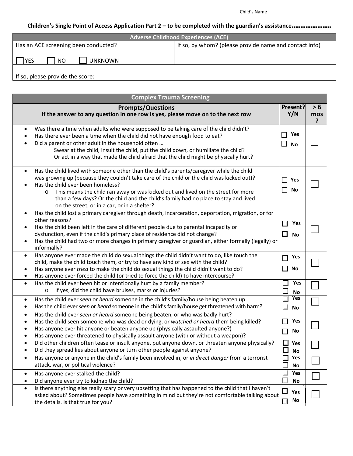## **Children's Single Point of Access Application Part 2 – to be completed with the guardian's assistance.......................**

| <b>Adverse Childhood Experiences (ACE)</b> |                                                        |  |  |
|--------------------------------------------|--------------------------------------------------------|--|--|
| Has an ACE screening been conducted?       | If so, by whom? (please provide name and contact info) |  |  |
| <b>UNKNOWN</b><br>NO<br><b>YES</b>         |                                                        |  |  |
| If so, please provide the score:           |                                                        |  |  |

| <b>Complex Trauma Screening</b>                                                                                                                                                                                                                                                                                                                                                                                                                                                 |                                                 |                 |  |
|---------------------------------------------------------------------------------------------------------------------------------------------------------------------------------------------------------------------------------------------------------------------------------------------------------------------------------------------------------------------------------------------------------------------------------------------------------------------------------|-------------------------------------------------|-----------------|--|
| <b>Prompts/Questions</b><br>If the answer to any question in one row is yes, please move on to the next row                                                                                                                                                                                                                                                                                                                                                                     | Present?<br>Y/N                                 | > 6<br>mos<br>7 |  |
| Was there a time when adults who were supposed to be taking care of the child didn't?<br>$\bullet$<br>Has there ever been a time when the child did not have enough food to eat?<br>Did a parent or other adult in the household often<br>Swear at the child, insult the child, put the child down, or humiliate the child?<br>Or act in a way that made the child afraid that the child might be physically hurt?                                                              | Yes<br>$\mathcal{L}_{\mathcal{A}}$<br><b>No</b> |                 |  |
| Has the child lived with someone other than the child's parents/caregiver while the child<br>$\bullet$<br>was growing up (because they couldn't take care of the child or the child was kicked out)?<br>Has the child ever been homeless?<br>This means the child ran away or was kicked out and lived on the street for more<br>$\circ$<br>than a few days? Or the child and the child's family had no place to stay and lived<br>on the street, or in a car, or in a shelter? | Yes<br>No                                       |                 |  |
| Has the child lost a primary caregiver through death, incarceration, deportation, migration, or for<br>$\bullet$<br>other reasons?<br>Has the child been left in the care of different people due to parental incapacity or<br>dysfunction, even if the child's primary place of residence did not change?<br>Has the child had two or more changes in primary caregiver or guardian, either formally (legally) or<br>informally?                                               | Yes<br>$\Box$<br><b>No</b>                      |                 |  |
| Has anyone ever made the child do sexual things the child didn't want to do, like touch the<br>$\bullet$<br>child, make the child touch them, or try to have any kind of sex with the child?<br>Has anyone ever tried to make the child do sexual things the child didn't want to do?<br>٠<br>Has anyone ever forced the child (or tried to force the child) to have intercourse?<br>٠                                                                                          | Yes<br>No<br>$\Box$                             |                 |  |
| Has the child ever been hit or intentionally hurt by a family member?<br>$\bullet$<br>If yes, did the child have bruises, marks or injuries?<br>$\circ$                                                                                                                                                                                                                                                                                                                         | Yes<br>$\Box$<br><b>No</b>                      |                 |  |
| Has the child ever seen or heard someone in the child's family/house being beaten up<br>$\bullet$<br>Has the child ever seen or heard someone in the child's family/house get threatened with harm?<br>$\bullet$                                                                                                                                                                                                                                                                | Yes<br>□<br><b>No</b>                           |                 |  |
| Has the child ever seen or heard someone being beaten, or who was badly hurt?<br>$\bullet$<br>Has the child seen someone who was dead or dying, or watched or heard them being killed?<br>$\bullet$<br>Has anyone ever hit anyone or beaten anyone up (physically assaulted anyone?)<br>$\bullet$<br>Has anyone ever threatened to physically assault anyone (with or without a weapon)?<br>$\bullet$                                                                           | Yes<br>No<br>$\Box$                             |                 |  |
| Did other children often tease or insult anyone, put anyone down, or threaten anyone physically?<br>$\bullet$<br>Did they spread lies about anyone or turn other people against anyone?                                                                                                                                                                                                                                                                                         | $\Box$<br>Yes<br>$\Box$<br><b>NO</b>            |                 |  |
| Has anyone or anyone in the child's family been involved in, or in direct danger from a terrorist<br>$\bullet$<br>attack, war, or political violence?                                                                                                                                                                                                                                                                                                                           | Yes<br>No                                       |                 |  |
| Has anyone ever stalked the child?<br>$\bullet$<br>Did anyone ever try to kidnap the child?<br>$\bullet$                                                                                                                                                                                                                                                                                                                                                                        | $\Box$<br>Yes<br>$\Box$<br><b>No</b>            |                 |  |
| Is there anything else really scary or very upsetting that has happened to the child that I haven't<br>$\bullet$<br>asked about? Sometimes people have something in mind but they're not comfortable talking about<br>the details. Is that true for you?                                                                                                                                                                                                                        | $\Box$<br>Yes<br>No<br>$\Box$                   |                 |  |